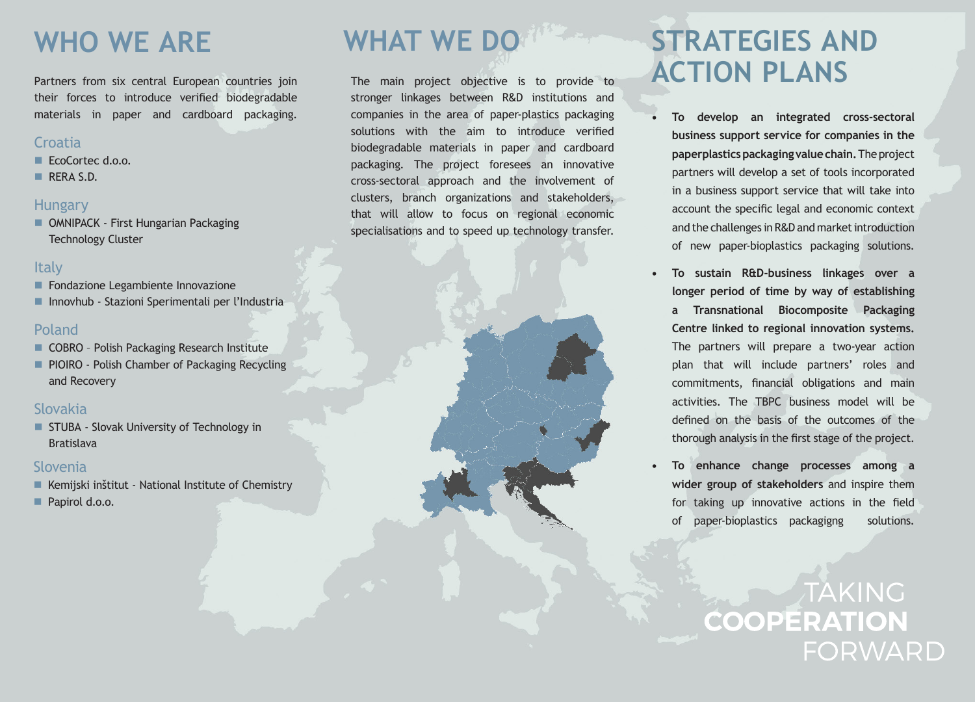## **WHO WE ARE**

Partners from six central European countries join their forces to introduce verified biodegradable materials in paper and cardboard packaging.

#### **Croatia**

- EcoCortec d.o.o.
- RERA S.D.

#### **Hungary**

**DE OMNIPACK - First Hungarian Packaging** Technology Cluster

#### **Italy**

- **Fondazione Legambiente Innovazione**
- Innovhub Stazioni Sperimentali per l'Industria

#### Poland

- COBRO Polish Packaging Research Institute
- **PIOIRO Polish Chamber of Packaging Recycling** and Recovery

#### Slovakia

**STUBA - Slovak University of Technology in** Bratislava

#### Slovenia

- Kemijski inštitut National Institute of Chemistry
- Papirol d.o.o.

# **WHAT WE DO**

The main project objective is to provide to stronger linkages between R&D institutions and companies in the area of paper-plastics packaging solutions with the aim to introduce verified biodegradable materials in paper and cardboard packaging. The project foresees an innovative cross-sectoral approach and the involvement of clusters, branch organizations and stakeholders, that will allow to focus on regional economic specialisations and to speed up technology transfer.

## **STRATEGIES AND ACTION PLANS**

- **• To develop an integrated cross-sectoral business support service for companies in the paperplastics packaging value chain.** The project partners will develop a set of tools incorporated in a business support service that will take into account the specific legal and economic context and the challenges in R&D and market introduction of new paper-bioplastics packaging solutions.
- **• To sustain R&D-business linkages over a longer period of time by way of establishing a Transnational Biocomposite Packaging Centre linked to regional innovation systems.**  The partners will prepare a two-year action plan that will include partners' roles and commitments, financial obligations and main activities. The TBPC business model will be defined on the basis of the outcomes of the thorough analysis in the first stage of the project.
- **• To enhance change processes among a wider group of stakeholders** and inspire them for taking up innovative actions in the field of paper-bioplastics packagigng solutions.

TAKING **COOPERATION FORWARD**